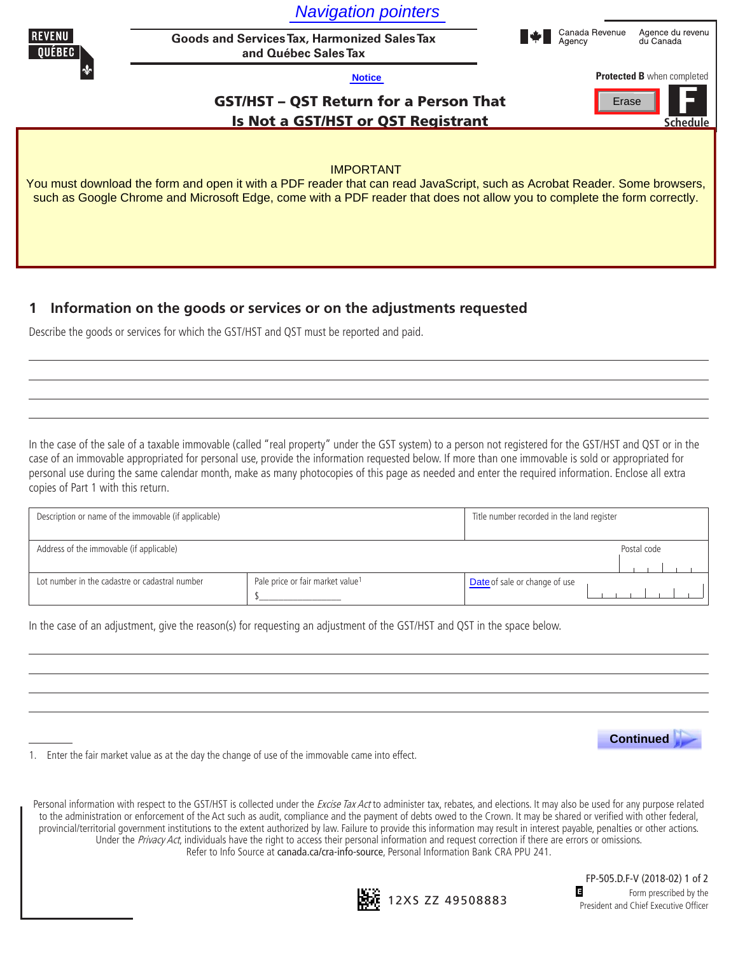|                                                                                                                                                                                                                                                                           | <b>Navigation pointers</b>                                                                 |                                   |                          |                               |  |  |  |
|---------------------------------------------------------------------------------------------------------------------------------------------------------------------------------------------------------------------------------------------------------------------------|--------------------------------------------------------------------------------------------|-----------------------------------|--------------------------|-------------------------------|--|--|--|
| <b>REVENU</b><br><b>QUEBEC</b>                                                                                                                                                                                                                                            | <b>Goods and Services Tax, Harmonized Sales Tax</b><br>and Québec Sales Tax                | $\blacktriangleright$             | Canada Revenue<br>Agency | Agence du revenu<br>du Canada |  |  |  |
|                                                                                                                                                                                                                                                                           | <b>Notice</b>                                                                              | <b>Protected B</b> when completed |                          |                               |  |  |  |
|                                                                                                                                                                                                                                                                           | <b>GST/HST - QST Return for a Person That</b><br><b>Is Not a GST/HST or QST Registrant</b> |                                   | Erase                    | <b>Schedule</b>               |  |  |  |
| <b>IMPORTANT</b><br>You must download the form and open it with a PDF reader that can read JavaScript, such as Acrobat Reader. Some browsers,<br>such as Google Chrome and Microsoft Edge, come with a PDF reader that does not allow you to complete the form correctly. |                                                                                            |                                   |                          |                               |  |  |  |

## **1 Information on the goods or services or on the adjustments requested**

| 1 Information on the goods or services or on the adjustments requested<br>Describe the goods or services for which the GST/HST and QST must be reported and paid. |                                              |                                                                                                                                                                                                                                                                                                                                                                                                                                                                        |  |  |  |  |
|-------------------------------------------------------------------------------------------------------------------------------------------------------------------|----------------------------------------------|------------------------------------------------------------------------------------------------------------------------------------------------------------------------------------------------------------------------------------------------------------------------------------------------------------------------------------------------------------------------------------------------------------------------------------------------------------------------|--|--|--|--|
|                                                                                                                                                                   |                                              |                                                                                                                                                                                                                                                                                                                                                                                                                                                                        |  |  |  |  |
|                                                                                                                                                                   |                                              |                                                                                                                                                                                                                                                                                                                                                                                                                                                                        |  |  |  |  |
| copies of Part 1 with this return.                                                                                                                                |                                              | In the case of the sale of a taxable immovable (called "real property" under the GST system) to a person not registered for the GST/HST and QST or in the<br>case of an immovable appropriated for personal use, provide the information requested below. If more than one immovable is sold or appropriated for<br>personal use during the same calendar month, make as many photocopies of this page as needed and enter the required information. Enclose all extra |  |  |  |  |
| Description or name of the immovable (if applicable)                                                                                                              | Title number recorded in the land register   |                                                                                                                                                                                                                                                                                                                                                                                                                                                                        |  |  |  |  |
| Address of the immovable (if applicable)                                                                                                                          |                                              | Postal code                                                                                                                                                                                                                                                                                                                                                                                                                                                            |  |  |  |  |
| Lot number in the cadastre or cadastral number                                                                                                                    | Pale price or fair market value <sup>1</sup> | Date of sale or change of use                                                                                                                                                                                                                                                                                                                                                                                                                                          |  |  |  |  |

In the case of an adjustment, give the reason(s) for requesting an adjustment of the GST/HST and QST in the space below.



1. Enter the fair market value as at the day the change of use of the immovable came into effect.

Personal information with respect to the GST/HST is collected under the *Excise Tax Act* to administer tax, rebates, and elections. It may also be used for any purpose related to the administration or enforcement of the Act such as audit, compliance and the payment of debts owed to the Crown. It may be shared or verified with other federal, provincial/territorial government institutions to the extent authorized by law. Failure to provide this information may result in interest payable, penalties or other actions. Under the Privacy Act, individuals have the right to access their personal information and request correction if there are errors or omissions. Refer to Info Source at canada.ca/cra-info-source, Personal Information Bank CRA PPU 241.

> FP-505.D.F-V (2018-02) 1 of 2 目 Form prescribed by the President and Chief Executive Officer

**12XS ZZ 49508883**